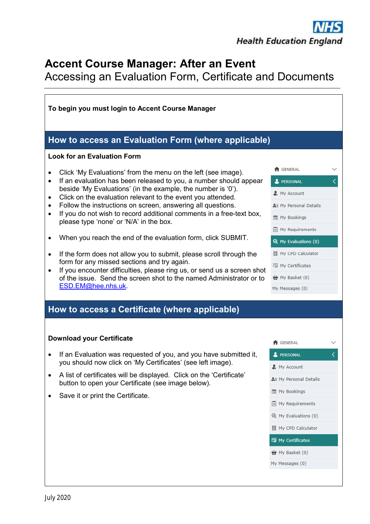## **Accent Course Manager: After an Event**

Accessing an Evaluation Form, Certificate and Documents